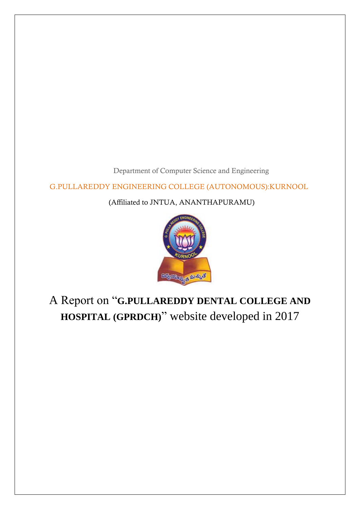Department of Computer Science and Engineering

G.PULLAREDDY ENGINEERING COLLEGE (AUTONOMOUS):KURNOOL

(Affiliated to JNTUA, ANANTHAPURAMU)



# A Report on "**G.PULLAREDDY DENTAL COLLEGE AND HOSPITAL (GPRDCH)**" website developed in 2017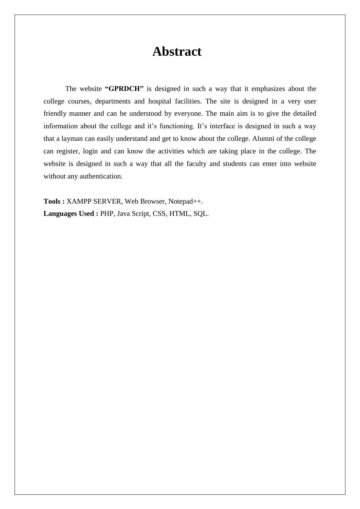# **Abstract**

 The website **"GPRDCH"** is designed in such a way that it emphasizes about the college courses, departments and hospital facilities. The site is designed in a very user friendly manner and can be understood by everyone. The main aim is to give the detailed information about the college and it's functioning. It's interface is designed in such a way that a layman can easily understand and get to know about the college. Alumni of the college can register, login and can know the activities which are taking place in the college. The website is designed in such a way that all the faculty and students can enter into website without any authentication.

**Tools :** XAMPP SERVER, Web Browser, Notepad++. **Languages Used :** PHP, Java Script, CSS, HTML, SQL.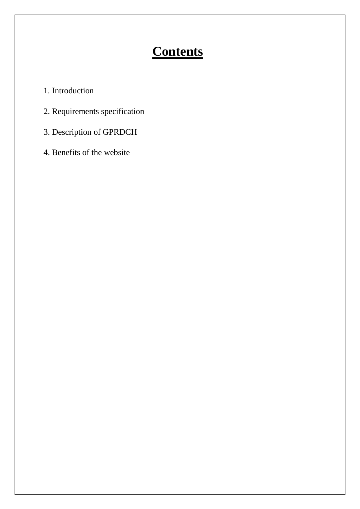# **Contents**

- 1. Introduction
- 2. Requirements specification
- 3. Description of GPRDCH
- 4. Benefits of the website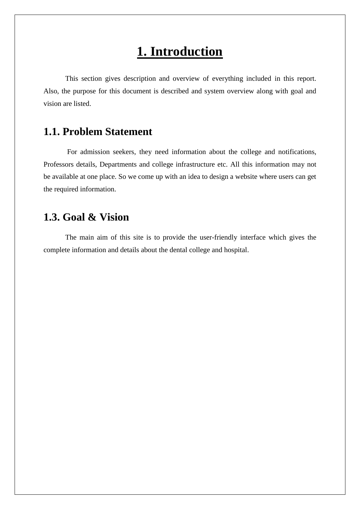# **1. Introduction**

This section gives description and overview of everything included in this report. Also, the purpose for this document is described and system overview along with goal and vision are listed.

## **1.1. Problem Statement**

For admission seekers, they need information about the college and notifications, Professors details, Departments and college infrastructure etc. All this information may not be available at one place. So we come up with an idea to design a website where users can get the required information.

## **1.3. Goal & Vision**

The main aim of this site is to provide the user-friendly interface which gives the complete information and details about the dental college and hospital.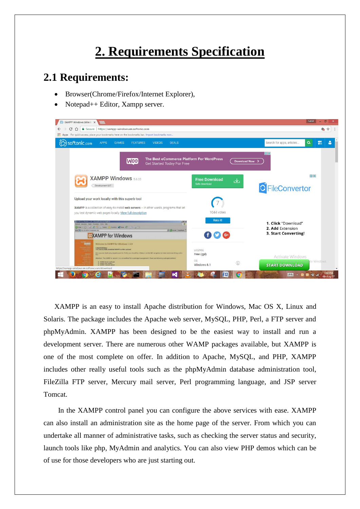# **2. Requirements Specification**

### **2.1 Requirements:**

- Browser(Chrome/Firefox/Internet Explorer),
- Notepad++ Editor, Xampp server.



XAMPP is an easy to install Apache distribution for Windows, Mac OS X, Linux and Solaris. The package includes the Apache web server, MySQL, PHP, Perl, a FTP server and phpMyAdmin. XAMPP has been designed to be the easiest way to install and run a development server. There are numerous other WAMP packages available, but XAMPP is one of the most complete on offer. In addition to Apache, MySQL, and PHP, XAMPP includes other really useful tools such as the phpMyAdmin database administration tool, FileZilla FTP server, Mercury mail server, Perl programming language, and JSP server Tomcat.

 In the XAMPP control panel you can configure the above services with ease. XAMPP can also install an administration site as the home page of the server. From which you can undertake all manner of administrative tasks, such as checking the server status and security, launch tools like php, MyAdmin and analytics. You can also view PHP demos which can be of use for those developers who are just starting out.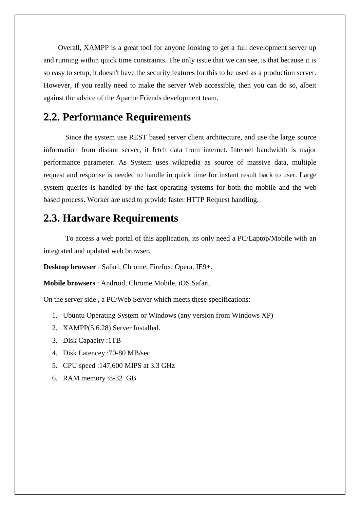Overall, XAMPP is a great tool for anyone looking to get a full development server up and running within quick time constraints. The only issue that we can see, is that because it is so easy to setup, it doesn't have the security features for this to be used as a production server. However, if you really need to make the server Web accessible, then you can do so, albeit against the advice of the Apache Friends development team.

### **2.2. Performance Requirements**

Since the system use REST based server client architecture, and use the large source information from distant server, it fetch data from internet. Internet bandwidth is major performance parameter. As System uses wikipedia as source of massive data, multiple request and response is needed to handle in quick time for instant result back to user. Large system queries is handled by the fast operating systems for both the mobile and the web based process. Worker are used to provide faster HTTP Request handling.

### **2.3. Hardware Requirements**

To access a web portal of this application, its only need a PC/Laptop/Mobile with an integrated and updated web browser.

**Desktop browser** : Safari, Chrome, Firefox, Opera, IE9+.

**Mobile browsers** : Android, Chrome Mobile, iOS Safari.

On the server side , a PC/Web Server which meets these specifications:

- 1. Ubuntu Operating System or Windows (any version from Windows XP)
- 2. XAMPP(5.6.28) Server Installed.
- 3. Disk Capacity :1TB
- 4. Disk Latencey :70-80 MB/sec
- 5. CPU speed :147,600 MIPS at 3.3 GHz
- 6. RAM memory :8-32 GB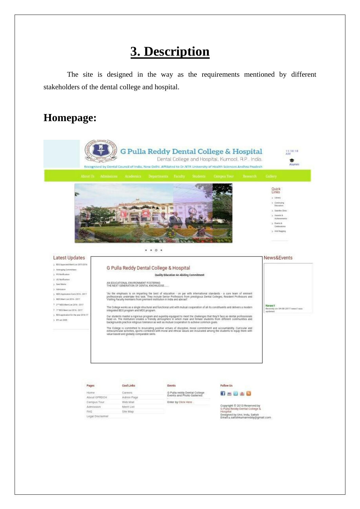# **3. Description**

The site is designed in the way as the requirements mentioned by different stakeholders of the dental college and hospital.

## **Homepage:**



Home About GPRDCH Campus Tour Admission FAQ Legal Disclaimer

Careers Admin Page Web Mail Ment List Site Map

G Pulla reddy Dental College<br>Events and Photo Galleries

Enter by Click Here

**B-848** 

Copyright © 2013 Reserved by<br>G Pulla Reddy Dental College &<br>Hospital nesigned by Urvi, Indu, Satish<br>Email:u.satishkumarreddy@gmail.com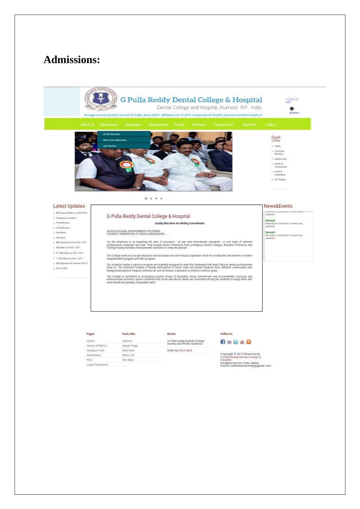## **Admissions:**



#### Latest Updates

- > 805 Assesved Meritian 2015-2016
- > Antrages Committees > PGNotficator
- $> 15$  Motificature
- $\bar{y}$  Suit Mains
- > Admission
- $>$  MDS Application Form 2016 2017
- > VDSWentin 2016-2017
- $\begin{smallmatrix}3&2^{14}\text{WDSMert,}\text{Im}\left(2016\cdot2017\right)\end{smallmatrix}$
- $2.19985$  Member 2016 2017
- $\alpha$  80% application for the poor 2016-17  $> 15$  art 2005
- 

### G Pulla Reddy Dental College & Hospital

### Quality Education-An Abiding Commitment

AN EDUCATIONAL ENVIRONMENT FOSTERING<br>THE NEXT GENERATION OF DENTAL KNOWLEDGE...

"As the emphasis is on imparting the best of education - on par with international standards - a core team of eminent<br>professionals undertake this task. They include Senior Professors from prestigious Dental Colleges, Resi

The College works as a single structural and functional unit with mutual cooperation of all its constituents and delivers a modern<br>Integrated BDS program and MDS program.

Our students master a rigorous program and superbly equipped to meet the challenges that they'll face as dental professionals<br>head on. The institution creates a friendly atmosphere in which male and female adudents from di

The College is committed to inculcating positive virtues of discipline, moral commitment and accountability. Curricular and<br>extracuricular activities, sports combined with moral and ethical values are inculcated among the

Events

#### Pages

| Careers<br>Home  |            | G Pulla reddy Dental College |  |  |
|------------------|------------|------------------------------|--|--|
| About GPRDCH     | Admin Page | Events and Photo Galleries   |  |  |
|                  |            |                              |  |  |
| Campus Tour      | Web Mail   | Enter by Click Here.         |  |  |
| <b>Admission</b> | Merit List |                              |  |  |
| FAO <sup>1</sup> | Site Map   |                              |  |  |
| Legal Disclaimer |            |                              |  |  |

Cool Links

#### Follow Us



Copyright © 2013 Reserved by<br>G Pulla Reddy Dental College &<br>Hospital Hospital<br>Designed by Urvi, Indu, Satish<br>Email:u.satishkumarreddy@gmail.com

#### News&Events

verennig<br>Liptkitett News2<br>Recently on 04-08-2017 news2 was

Recently<br>updated

News3<br>Becenity on 04:01-2017 news2 was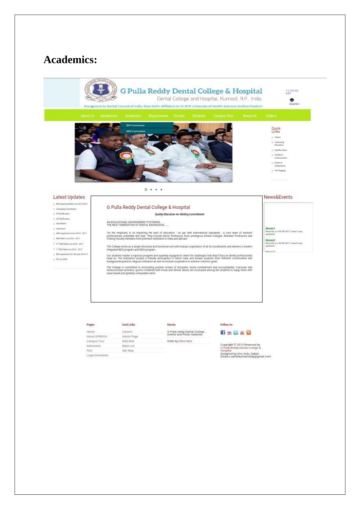## **Academics:**



#### Latest Updates

- > BDS Approved Mention 2015-2016
- > Antrophy Committees
- 3 Plitterfication  $> 16$  Motification
- Seat Maine
- 3: Admission
- 5 MDS Application Form 2016 2017
- > VDS Mem Lin 2016 2017
- 3 and articles the 2016 2017
- 3 1" 805 Ment Lux 2016 2017 > 00% opplication for the year 2016-17
- $> 87$  arc 2005

### G Pulla Reddy Dental College & Hospital

### Quality Education-An Abiding Commitment

AN EDUCATIONAL ENVIRONMENT FOSTERING<br>THE NEXT GENERATION OF DENTAL KNOWLEDGE....

"As the emphasis is on imparting the best of education - on par with international standards - a core team of emment<br>professionals undertake this task. They include Senior Professors from prestigious Dental Colleges, Resid

The College works as a single structural and functional unit with mutual cooperation of all its constituents and delivers a modern<br>Integrated BDS program and MDS program.

Our students master a rigorous program and superbly equipped to meet the challenges that they'll face as dental professionals<br>head on, The Institution creates a Priendy atmosphere in which make and female students from dif

The College is committed to incuisating positive virtues of discipline, moral commitment and accountability. Curricular and<br>extracuriticial activities, sports combined with moral and ethical values are incuisated among the

### News&Events

News1<br>Recently on 04-08-2017 news1 was News2 cently on 04-08-2017 news2 was<br>dated:

| Pages            | Cool Links | Events                       | Follow Us                                                                                          |  |  |
|------------------|------------|------------------------------|----------------------------------------------------------------------------------------------------|--|--|
| Home             | Careers    | G Pulla reddy Dental College |                                                                                                    |  |  |
| About GPRDCH     | Admin Page | Events and Photo Galleries   |                                                                                                    |  |  |
| Campus Tour.     | Web Mail   | Enter by Click Here          |                                                                                                    |  |  |
| Admission        | Merit List |                              | Copyright @ 2013 Reserved b<br>G Pulla Reddy Dental College                                        |  |  |
| FAO              | Site Man   |                              | Hospital<br>Designed by Urvi, Indu. Satish<br>Constant on a subject to be constructed at a citizen |  |  |
| Legal Disclaimer |            |                              |                                                                                                    |  |  |

y.

signed by Urvi, Indu, Satish<br>1alku.satishkumarreddy@gmail.com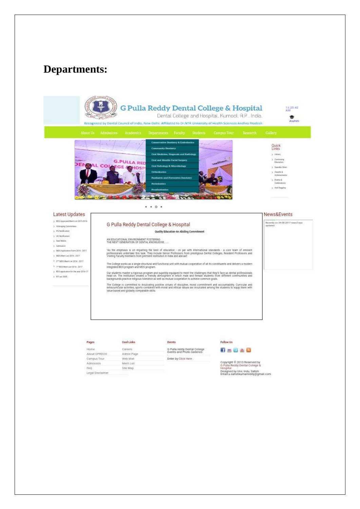## **Departments:**



#### Pages Home

#### Careers About GPRDCH Admin Page Campus Tour Web Mail Ment List Admission Site Map

Cool Links

FAQ Legal Disclaimer

G Pulla reddy Dental College<br>Events and Photo Galleries Enter by Click Here

Events

Follow Us

### **65888**

Copyright © 2013 Reserved by<br>G Pulla Reddy Dental College &<br>Hospital Designed by Urvi, Indu, Satish<br>Email:u.satishkumarreddy@gmail.com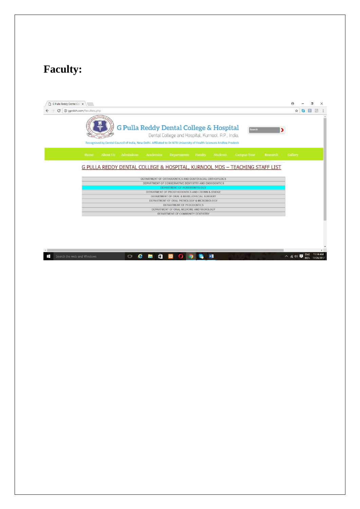# **Faculty:**

| G Pulla Reddy Dental Col X                                                                                                                                                                                                                         |                                                      |            |                     | × |  |  |
|----------------------------------------------------------------------------------------------------------------------------------------------------------------------------------------------------------------------------------------------------|------------------------------------------------------|------------|---------------------|---|--|--|
| 1 gprdch.com/faculties.php<br>C                                                                                                                                                                                                                    | ☆                                                    | G          | $\sigma$<br>$\circ$ |   |  |  |
| 01166<br><b>G Pulla Reddy Dental College &amp; Hospital</b><br>Search<br>Dental College and Hospital, Kurnool, A.P., India.<br>Recognised by Dental Council of India, New Delhi. Affiliated to Dr.NTR University of Health Sciences Andhra Pradesh |                                                      |            |                     |   |  |  |
| Home<br>About Us<br>Admissions<br>Academics<br>Faculty<br>Students<br><b>Campus Tour</b><br>Research<br><b>Departments</b>                                                                                                                         | Gallery                                              |            |                     |   |  |  |
| G PULLA REDDY DENTAL COLLEGE & HOSPITAL, KURNOOL MDS - TEACHING STAFF LIST                                                                                                                                                                         |                                                      |            |                     |   |  |  |
| DEPARTMENT OF ORTHODONTICS AND DENTOFACIAL ORTHOPEDICS                                                                                                                                                                                             |                                                      |            |                     |   |  |  |
|                                                                                                                                                                                                                                                    | DEPARTMENT OF CONSERVATIVE DENTISTRY AND ENDODONTICS |            |                     |   |  |  |
| DEPARTMENT OF PERIODONTOLOGY                                                                                                                                                                                                                       |                                                      |            |                     |   |  |  |
| DEPARTMENT OF PROSTHODONTICS AND CROWN & BRIDGE<br>DEPARTMENT OF ORAL & MAXILLOFACIAL SURGERY                                                                                                                                                      |                                                      |            |                     |   |  |  |
| DEPARTMENT OF ORAL PATHOLOGY & MICROBIOLOGY                                                                                                                                                                                                        |                                                      |            |                     |   |  |  |
| DEPARTMENT OF PEDODONTICS                                                                                                                                                                                                                          |                                                      |            |                     |   |  |  |
| DEPARTMENT OF ORAL MEDICINE AND RADIOLOGY                                                                                                                                                                                                          |                                                      |            |                     |   |  |  |
| DEPARTMENT OF COMMUNITY DENTISTRY                                                                                                                                                                                                                  |                                                      |            |                     |   |  |  |
|                                                                                                                                                                                                                                                    |                                                      |            |                     |   |  |  |
|                                                                                                                                                                                                                                                    |                                                      |            |                     |   |  |  |
|                                                                                                                                                                                                                                                    |                                                      |            |                     |   |  |  |
|                                                                                                                                                                                                                                                    |                                                      |            |                     |   |  |  |
| w∃<br>e<br>$\Box$<br>Search the web and Windows                                                                                                                                                                                                    | $\wedge$ (a (b)                                      | <b>ENG</b> |                     |   |  |  |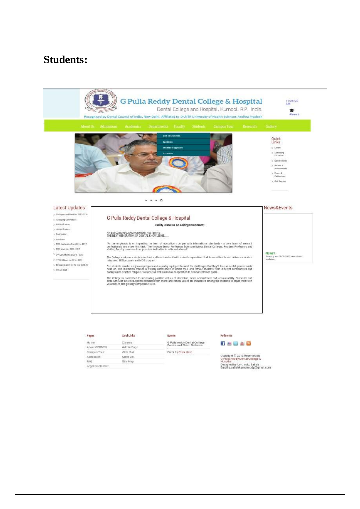### **Students:**

**EFTD. 1092 -**Recognised by Dental Council of India, New Delhi. Affiliated to Dr.NTR University of Health Sciences Andhra Pradesh

**G Pulla Reddy Dental College & Hospital** Dental College and Hospital, Kurnool, A.P., India.





### 3 Exempion > Sewith Circo  $\geq$  Anarda & Achievera  $\ge$  Everia &<br>Caldratora > Anti Regging

Quick<br>Links  $3$  Litery

#### Latest Updates

- 3 805 Approved Merician 2015-2016
- > Antraging Committees 3 PGNotficator
- > US Notificatus
- $5$  Suit Mainx
- > Admission
- $>$  MDS Application Form 2016 2017
- > VDS MemLin 2016 2017
- $\begin{smallmatrix}3&2^{-3}M\bar{D}5M\bar{B}14m2016&2017\end{smallmatrix}$
- 3 1"805 Mem Lut 2016 2017
- $_{\rm 3}$  -805 application for the prac 2016-17  $\rightarrow$  23 arc 2005

### G Pulla Reddy Dental College & Hospital

 $... 0 1 0$ 

#### Quality Education-An Abiding Commitment

AN EDUCATIONAL ENVIRONMENT FOSTERING<br>THE NEXT GENERATION OF DENTAL KNOWLEDGE...

"As the emphasis is on imparting the best of education - on par with international standards - a core team of eminent<br>professionals undertake this task. They include Senior Professors from prestigious Dental Colleges, Resi

The College works as a single structural and functional unit with mutual cooperation of all its constituents and delivers a modern<br>Integrated BDS program and MDS program.

Our students master a rigorous program and superbly equipped to meet the challenges that they'll face as dental professionals<br>head on. The Institution creates a Priendy atmosphere in which make and female students from dif

The College is committed to inculcating positive virtues of discipline, moral commitment and accountability. Curricular and<br>extracurricular activities, sports combined with moral and ethical values are inculcated among the

Events

#### Pages

| -                |            |                              |  |  |
|------------------|------------|------------------------------|--|--|
| Home             | Careers    | G Pulla reddy Dental College |  |  |
| About GPRDCH     | Admin Page | Events and Photo Galleries   |  |  |
| Campus Tour      | Web Mail   | Enter by Click Here.         |  |  |
| <b>Admission</b> | Merit List |                              |  |  |
| FAG.             | Site Map   |                              |  |  |
| Legal Disclaimer |            |                              |  |  |

Cool Links

#### Follow Us



Copyright © 2013 Reserved by<br>G Pulla Reddy Dental College &<br>Hospital -<br>Designed by Urvi, Indu, Satish<br>Email:u.satishkumarreddy@gmail.com

### News&Events

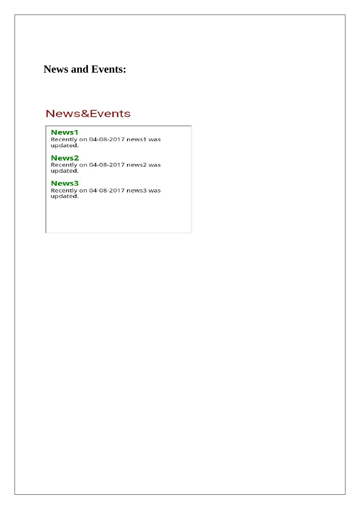## **News and Events:**

## News&Events

### News1

Recently on 04-08-2017 news1 was<br>updated.

### News<sub>2</sub>

Recently on 04-08-2017 news2 was updated.

### News3

Recently on 04-08-2017 news3 was<br>updated.